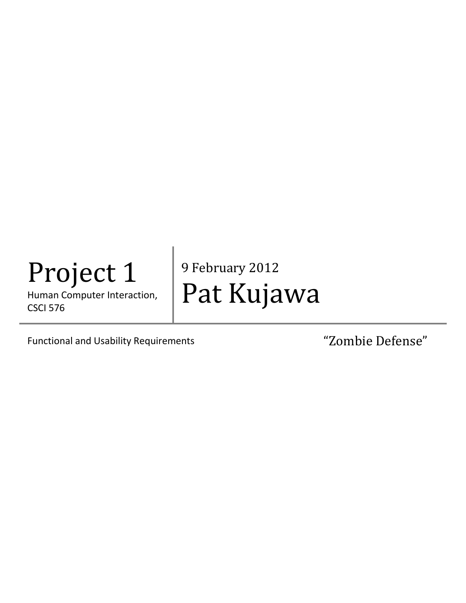# Project 1

Human Computer Interaction, CSCI 576

9 February 2012 Pat Kujawa

Functional and Usability Requirements The Combie Defense"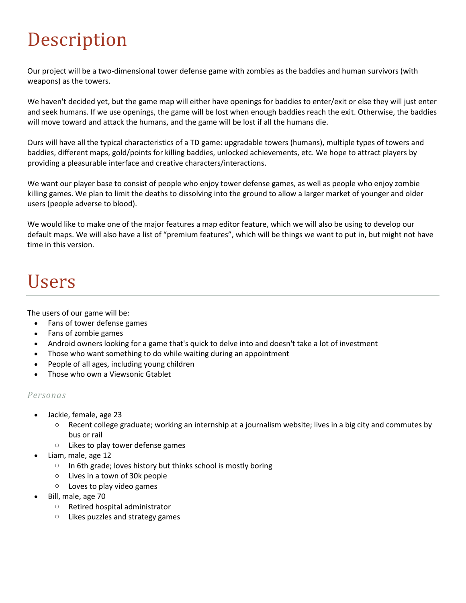### Description

Our project will be a two-dimensional tower defense game with zombies as the baddies and human survivors (with weapons) as the towers.

We haven't decided yet, but the game map will either have openings for baddies to enter/exit or else they will just enter and seek humans. If we use openings, the game will be lost when enough baddies reach the exit. Otherwise, the baddies will move toward and attack the humans, and the game will be lost if all the humans die.

Ours will have all the typical characteristics of a TD game: upgradable towers (humans), multiple types of towers and baddies, different maps, gold/points for killing baddies, unlocked achievements, etc. We hope to attract players by providing a pleasurable interface and creative characters/interactions.

We want our player base to consist of people who enjoy tower defense games, as well as people who enjoy zombie killing games. We plan to limit the deaths to dissolving into the ground to allow a larger market of younger and older users (people adverse to blood).

We would like to make one of the major features a map editor feature, which we will also be using to develop our default maps. We will also have a list of "premium features", which will be things we want to put in, but might not have time in this version.

### Users

The users of our game will be:

- Fans of tower defense games
- Fans of zombie games
- Android owners looking for a game that's quick to delve into and doesn't take a lot of investment
- Those who want something to do while waiting during an appointment
- People of all ages, including young children
- Those who own a Viewsonic Gtablet

#### *Personas*

- Jackie, female, age 23
	- $\circ$  Recent college graduate; working an internship at a journalism website; lives in a big city and commutes by bus or rail
	- o Likes to play tower defense games
- Liam, male, age 12
	- $\circ$  In 6th grade; loves history but thinks school is mostly boring
	- o Lives in a town of 30k people
	- o Loves to play video games
- Bill, male, age 70
	- o Retired hospital administrator
	- o Likes puzzles and strategy games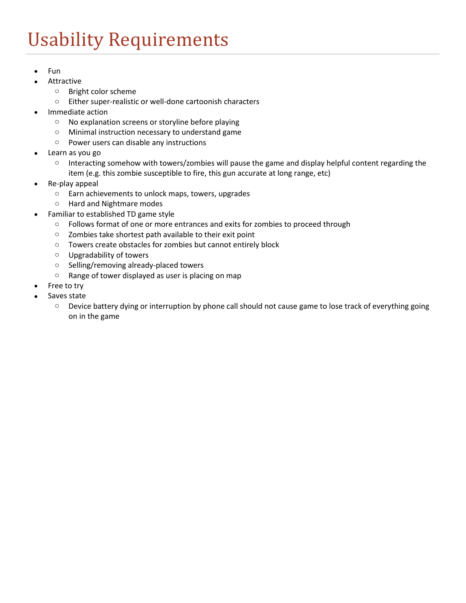## Usability Requirements

- $\bullet$  Fun
- Attractive
	- o Bright color scheme
	- o Either super-realistic or well-done cartoonish characters
- Immediate action
	- o No explanation screens or storyline before playing
	- o Minimal instruction necessary to understand game
	- o Power users can disable any instructions
- Learn as you go
	- o Interacting somehow with towers/zombies will pause the game and display helpful content regarding the item (e.g. this zombie susceptible to fire, this gun accurate at long range, etc)
- Re-play appeal
	- o Earn achievements to unlock maps, towers, upgrades
	- o Hard and Nightmare modes
- Familiar to established TD game style
	- o Follows format of one or more entrances and exits for zombies to proceed through
	- o Zombies take shortest path available to their exit point
	- o Towers create obstacles for zombies but cannot entirely block
	- o Upgradability of towers
	- o Selling/removing already-placed towers
	- o Range of tower displayed as user is placing on map
- Free to try
- Saves state
	- o Device battery dying or interruption by phone call should not cause game to lose track of everything going on in the game